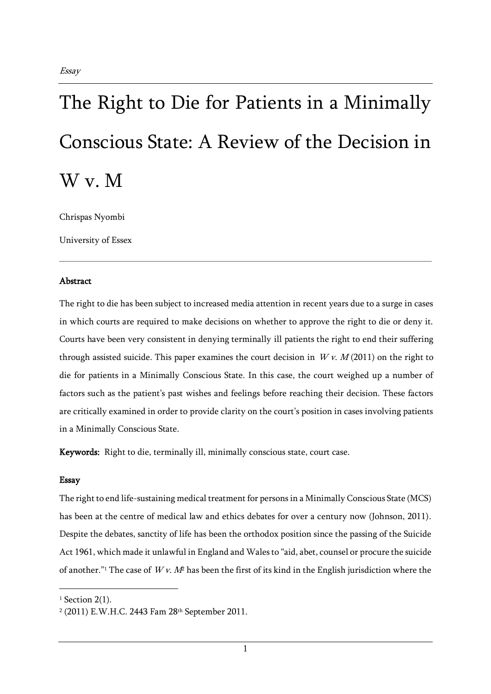## The Right to Die for Patients in a Minimally Conscious State: A Review of the Decision in W v. M

Chrispas Nyombi

University of Essex

## Abstract

The right to die has been subject to increased media attention in recent years due to a surge in cases in which courts are required to make decisions on whether to approve the right to die or deny it. Courts have been very consistent in denying terminally ill patients the right to end their suffering through assisted suicide. This paper examines the court decision in  $Wv$ .  $M(2011)$  on the right to die for patients in a Minimally Conscious State. In this case, the court weighed up a number of factors such as the patient's past wishes and feelings before reaching their decision. These factors are critically examined in order to provide clarity on the court's position in cases involving patients in a Minimally Conscious State.

Keywords: Right to die, terminally ill, minimally conscious state, court case.

## Essay

The right to end life-sustaining medical treatment for persons in a Minimally Conscious State (MCS) has been at the centre of medical law and ethics debates for over a century now (Johnson, 2011). Despite the debates, sanctity of life has been the orthodox position since the passing of the Suicide Act 1961, which made it unlawful in England and Wales to "aid, abet, counsel or procure the suicide of another."<sup>1</sup> The case of  $Wv$ . M<sup>2</sup> has been the first of its kind in the English jurisdiction where the

 $1$  Section 2(1).

<sup>2</sup> (2011) E.W.H.C. 2443 Fam 28th September 2011.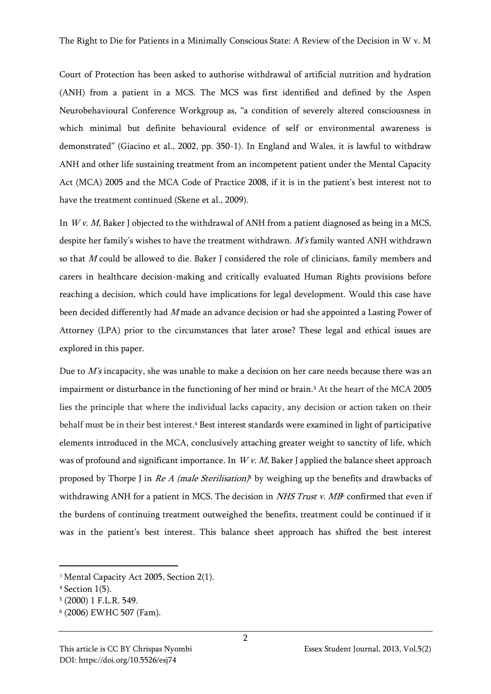Court of Protection has been asked to authorise withdrawal of artificial nutrition and hydration (ANH) from a patient in a MCS. The MCS was first identified and defined by the Aspen Neurobehavioural Conference Workgroup as, "a condition of severely altered consciousness in which minimal but definite behavioural evidence of self or environmental awareness is demonstrated" (Giacino et al., 2002, pp. 350-1). In England and Wales, it is lawful to withdraw ANH and other life sustaining treatment from an incompetent patient under the Mental Capacity Act (MCA) 2005 and the MCA Code of Practice 2008, if it is in the patient's best interest not to have the treatment continued (Skene et al., 2009).

In  $Wv$ . M, Baker J objected to the withdrawal of ANH from a patient diagnosed as being in a MCS, despite her family's wishes to have the treatment withdrawn. M's family wanted ANH withdrawn so that M could be allowed to die. Baker J considered the role of clinicians, family members and carers in healthcare decision-making and critically evaluated Human Rights provisions before reaching a decision, which could have implications for legal development. Would this case have been decided differently had  $M$  made an advance decision or had she appointed a Lasting Power of Attorney (LPA) prior to the circumstances that later arose? These legal and ethical issues are explored in this paper.

Due to M's incapacity, she was unable to make a decision on her care needs because there was an impairment or disturbance in the functioning of her mind or brain.<sup>3</sup> At the heart of the MCA 2005 lies the principle that where the individual lacks capacity, any decision or action taken on their behalf must be in their best interest.<sup>4</sup> Best interest standards were examined in light of participative elements introduced in the MCA, conclusively attaching greater weight to sanctity of life, which was of profound and significant importance. In  $Wv$ . M, Baker J applied the balance sheet approach proposed by Thorpe J in *Re A (male Sterilisation)*<sup>5</sup> by weighing up the benefits and drawbacks of withdrawing ANH for a patient in MCS. The decision in *NHS Trust v. MB* confirmed that even if the burdens of continuing treatment outweighed the benefits, treatment could be continued if it was in the patient's best interest. This balance sheet approach has shifted the best interest

<sup>3</sup> Mental Capacity Act 2005, Section 2(1).

<sup>4</sup> Section 1(5).

<sup>5</sup> (2000) 1 F.L.R. 549.

<sup>6</sup> (2006) EWHC 507 (Fam).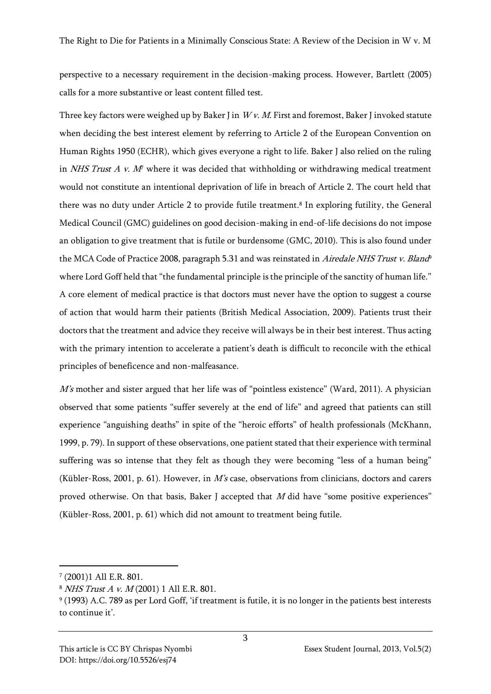perspective to a necessary requirement in the decision-making process. However, Bartlett (2005) calls for a more substantive or least content filled test.

Three key factors were weighed up by Baker J in  $Wv$ . M. First and foremost, Baker J invoked statute when deciding the best interest element by referring to Article 2 of the European Convention on Human Rights 1950 (ECHR), which gives everyone a right to life. Baker J also relied on the ruling in NHS Trust  $A$  v.  $M<sup>p</sup>$  where it was decided that withholding or withdrawing medical treatment would not constitute an intentional deprivation of life in breach of Article 2. The court held that there was no duty under Article 2 to provide futile treatment.<sup>8</sup> In exploring futility, the General Medical Council (GMC) guidelines on good decision-making in end-of-life decisions do not impose an obligation to give treatment that is futile or burdensome (GMC, 2010). This is also found under the MCA Code of Practice 2008, paragraph 5.31 and was reinstated in *Airedale NHS Trust v. Bland*<sup>,</sup> where Lord Goff held that "the fundamental principle is the principle of the sanctity of human life." A core element of medical practice is that doctors must never have the option to suggest a course of action that would harm their patients (British Medical Association, 2009). Patients trust their doctors that the treatment and advice they receive will always be in their best interest. Thus acting with the primary intention to accelerate a patient's death is difficult to reconcile with the ethical principles of beneficence and non-malfeasance.

M's mother and sister argued that her life was of "pointless existence" (Ward, 2011). A physician observed that some patients "suffer severely at the end of life" and agreed that patients can still experience "anguishing deaths" in spite of the "heroic efforts" of health professionals (McKhann, 1999, p. 79). In support of these observations, one patient stated that their experience with terminal suffering was so intense that they felt as though they were becoming "less of a human being" (Kübler-Ross, 2001, p. 61). However, in  $M$ 's case, observations from clinicians, doctors and carers proved otherwise. On that basis, Baker J accepted that  $M$  did have "some positive experiences" (Kübler-Ross, 2001, p. 61) which did not amount to treatment being futile.

<sup>7</sup> (2001)1 All E.R. 801.

<sup>8</sup> NHS Trust A v. M (2001) 1 All E.R. 801.

<sup>9</sup> (1993) A.C. 789 as per Lord Goff, 'if treatment is futile, it is no longer in the patients best interests to continue it'.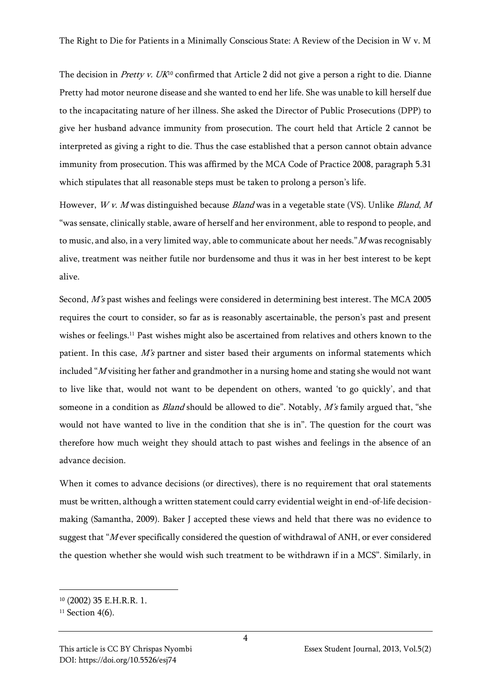The decision in *Pretty v. UK*<sup>10</sup> confirmed that Article 2 did not give a person a right to die. Dianne Pretty had motor neurone disease and she wanted to end her life. She was unable to kill herself due to the incapacitating nature of her illness. She asked the Director of Public Prosecutions (DPP) to give her husband advance immunity from prosecution. The court held that Article 2 cannot be interpreted as giving a right to die. Thus the case established that a person cannot obtain advance immunity from prosecution. This was affirmed by the MCA Code of Practice 2008, paragraph 5.31 which stipulates that all reasonable steps must be taken to prolong a person's life.

However,  $Wv$ . M was distinguished because *Bland* was in a vegetable state (VS). Unlike *Bland*, M "was sensate, clinically stable, aware of herself and her environment, able to respond to people, and to music, and also, in a very limited way, able to communicate about her needs."M was recognisably alive, treatment was neither futile nor burdensome and thus it was in her best interest to be kept alive.

Second, M's past wishes and feelings were considered in determining best interest. The MCA 2005 requires the court to consider, so far as is reasonably ascertainable, the person's past and present wishes or feelings.<sup>11</sup> Past wishes might also be ascertained from relatives and others known to the patient. In this case, M's partner and sister based their arguments on informal statements which included "M visiting her father and grandmother in a nursing home and stating she would not want to live like that, would not want to be dependent on others, wanted 'to go quickly', and that someone in a condition as *Bland* should be allowed to die". Notably,  $M$ 's family argued that, "she would not have wanted to live in the condition that she is in". The question for the court was therefore how much weight they should attach to past wishes and feelings in the absence of an advance decision.

When it comes to advance decisions (or directives), there is no requirement that oral statements must be written, although a written statement could carry evidential weight in end-of-life decisionmaking (Samantha, 2009). Baker J accepted these views and held that there was no evidence to suggest that "Mever specifically considered the question of withdrawal of ANH, or ever considered the question whether she would wish such treatment to be withdrawn if in a MCS". Similarly, in

<sup>10</sup> (2002) 35 E.H.R.R. 1.

 $11$  Section 4(6).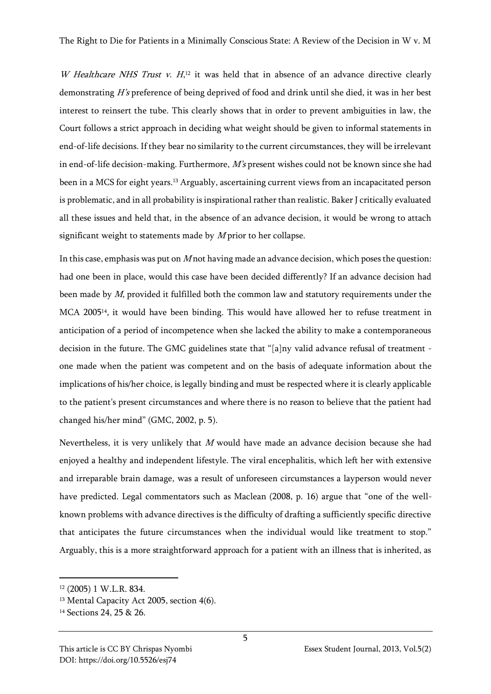W Healthcare NHS Trust v.  $H<sub>12</sub>$  it was held that in absence of an advance directive clearly demonstrating H's preference of being deprived of food and drink until she died, it was in her best interest to reinsert the tube. This clearly shows that in order to prevent ambiguities in law, the Court follows a strict approach in deciding what weight should be given to informal statements in end-of-life decisions. If they bear no similarity to the current circumstances, they will be irrelevant in end-of-life decision-making. Furthermore,  $M$ 's present wishes could not be known since she had been in a MCS for eight years.<sup>13</sup> Arguably, ascertaining current views from an incapacitated person is problematic, and in all probability is inspirational rather than realistic. Baker J critically evaluated all these issues and held that, in the absence of an advance decision, it would be wrong to attach significant weight to statements made by  $M$  prior to her collapse.

In this case, emphasis was put on  $M$  not having made an advance decision, which poses the question: had one been in place, would this case have been decided differently? If an advance decision had been made by M, provided it fulfilled both the common law and statutory requirements under the MCA 200514, it would have been binding. This would have allowed her to refuse treatment in anticipation of a period of incompetence when she lacked the ability to make a contemporaneous decision in the future. The GMC guidelines state that "[a]ny valid advance refusal of treatment one made when the patient was competent and on the basis of adequate information about the implications of his/her choice, is legally binding and must be respected where it is clearly applicable to the patient's present circumstances and where there is no reason to believe that the patient had changed his/her mind" (GMC, 2002, p. 5).

Nevertheless, it is very unlikely that  $M$  would have made an advance decision because she had enjoyed a healthy and independent lifestyle. The viral encephalitis, which left her with extensive and irreparable brain damage, was a result of unforeseen circumstances a layperson would never have predicted. Legal commentators such as Maclean (2008, p. 16) argue that "one of the wellknown problems with advance directives is the difficulty of drafting a sufficiently specific directive that anticipates the future circumstances when the individual would like treatment to stop." Arguably, this is a more straightforward approach for a patient with an illness that is inherited, as

<sup>12</sup> (2005) 1 W.L.R. 834.

<sup>&</sup>lt;sup>13</sup> Mental Capacity Act 2005, section 4(6).

<sup>14</sup> Sections 24, 25 & 26.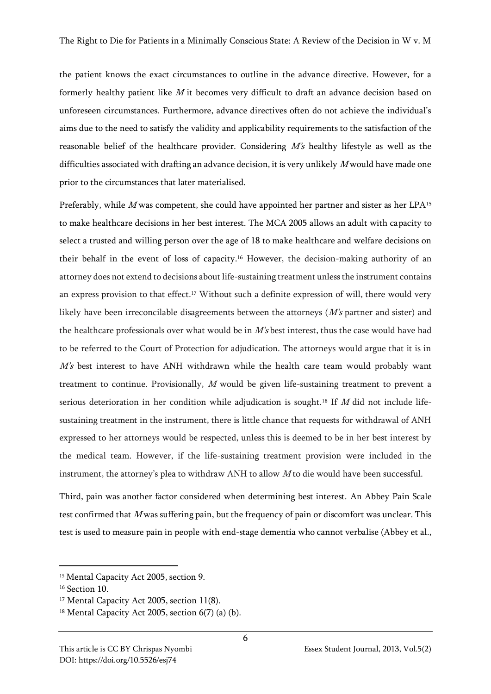the patient knows the exact circumstances to outline in the advance directive. However, for a formerly healthy patient like  $M$  it becomes very difficult to draft an advance decision based on unforeseen circumstances. Furthermore, advance directives often do not achieve the individual's aims due to the need to satisfy the validity and applicability requirements to the satisfaction of the reasonable belief of the healthcare provider. Considering M's healthy lifestyle as well as the difficulties associated with drafting an advance decision, it is very unlikely  $M$  would have made one prior to the circumstances that later materialised.

Preferably, while M was competent, she could have appointed her partner and sister as her LPA<sup>15</sup> to make healthcare decisions in her best interest. The MCA 2005 allows an adult with capacity to select a trusted and willing person over the age of 18 to make healthcare and welfare decisions on their behalf in the event of loss of capacity.<sup>16</sup> However, the decision-making authority of an attorney does not extend to decisions about life-sustaining treatment unless the instrument contains an express provision to that effect.<sup>17</sup> Without such a definite expression of will, there would very likely have been irreconcilable disagreements between the attorneys  $(M's$  partner and sister) and the healthcare professionals over what would be in  $M$ 's best interest, thus the case would have had to be referred to the Court of Protection for adjudication. The attorneys would argue that it is in M's best interest to have ANH withdrawn while the health care team would probably want treatment to continue. Provisionally, <sup>M</sup> would be given life-sustaining treatment to prevent a serious deterioration in her condition while adjudication is sought.<sup>18</sup> If M did not include lifesustaining treatment in the instrument, there is little chance that requests for withdrawal of ANH expressed to her attorneys would be respected, unless this is deemed to be in her best interest by the medical team. However, if the life-sustaining treatment provision were included in the instrument, the attorney's plea to withdraw ANH to allow  $M$  to die would have been successful.

Third, pain was another factor considered when determining best interest. An Abbey Pain Scale test confirmed that  $M$  was suffering pain, but the frequency of pain or discomfort was unclear. This test is used to measure pain in people with end-stage dementia who cannot verbalise (Abbey et al.,

6

<sup>15</sup> Mental Capacity Act 2005, section 9.

<sup>&</sup>lt;sup>16</sup> Section 10.

<sup>&</sup>lt;sup>17</sup> Mental Capacity Act 2005, section 11(8).

 $18$  Mental Capacity Act 2005, section 6(7) (a) (b).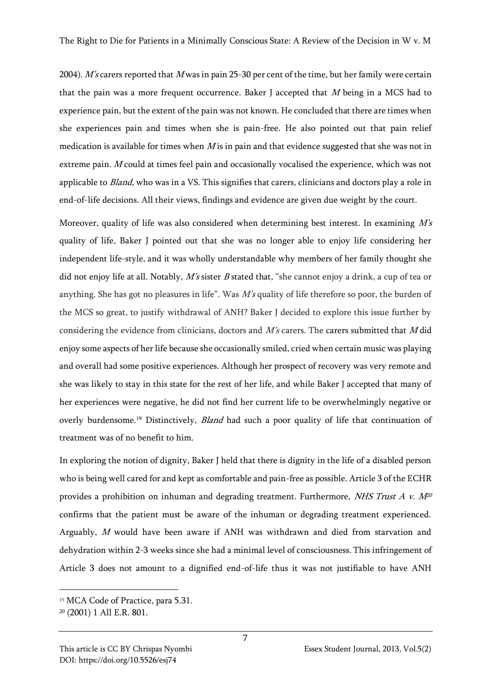2004). M's carers reported that M was in pain 25-30 per cent of the time, but her family were certain that the pain was a more frequent occurrence. Baker J accepted that  $M$  being in a MCS had to experience pain, but the extent of the pain was not known. He concluded that there are times when she experiences pain and times when she is pain-free. He also pointed out that pain relief medication is available for times when  $M$  is in pain and that evidence suggested that she was not in extreme pain. <sup>M</sup> could at times feel pain and occasionally vocalised the experience, which was not applicable to *Bland*, who was in a VS. This signifies that carers, clinicians and doctors play a role in end-of-life decisions. All their views, findings and evidence are given due weight by the court.

Moreover, quality of life was also considered when determining best interest. In examining  $M\ddot{s}$ quality of life, Baker J pointed out that she was no longer able to enjoy life considering her independent life-style, and it was wholly understandable why members of her family thought she did not enjoy life at all. Notably,  $M$ 's sister  $B$  stated that, "she cannot enjoy a drink, a cup of tea or anything. She has got no pleasures in life". Was M's quality of life therefore so poor, the burden of the MCS so great, to justify withdrawal of ANH? Baker J decided to explore this issue further by considering the evidence from clinicians, doctors and  $M$ 's carers. The carers submitted that  $M$  did enjoy some aspects of her life because she occasionally smiled, cried when certain music was playing and overall had some positive experiences. Although her prospect of recovery was very remote and she was likely to stay in this state for the rest of her life, and while Baker J accepted that many of her experiences were negative, he did not find her current life to be overwhelmingly negative or overly burdensome.<sup>19</sup> Distinctively, *Bland* had such a poor quality of life that continuation of treatment was of no benefit to him.

In exploring the notion of dignity, Baker J held that there is dignity in the life of a disabled person who is being well cared for and kept as comfortable and pain-free as possible. Article 3 of the ECHR provides a prohibition on inhuman and degrading treatment. Furthermore, *NHS Trust A v.*  $M^{20}$ confirms that the patient must be aware of the inhuman or degrading treatment experienced. Arguably, <sup>M</sup> would have been aware if ANH was withdrawn and died from starvation and dehydration within 2-3 weeks since she had a minimal level of consciousness. This infringement of Article 3 does not amount to a dignified end-of-life thus it was not justifiable to have ANH

<sup>19</sup> MCA Code of Practice, para 5.31.

<sup>20</sup> (2001) 1 All E.R. 801.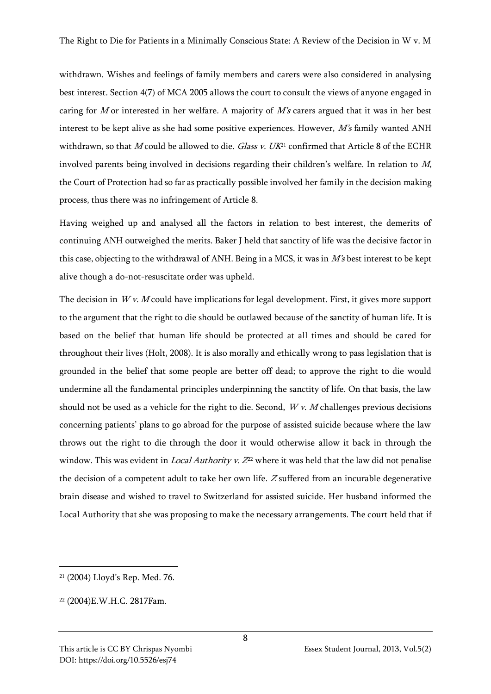withdrawn. Wishes and feelings of family members and carers were also considered in analysing best interest. Section 4(7) of MCA 2005 allows the court to consult the views of anyone engaged in caring for M or interested in her welfare. A majority of  $M\ddot{s}$  carers argued that it was in her best interest to be kept alive as she had some positive experiences. However, M's family wanted ANH withdrawn, so that M could be allowed to die. Glass v.  $UK<sup>21</sup>$  confirmed that Article 8 of the ECHR involved parents being involved in decisions regarding their children's welfare. In relation to M, the Court of Protection had so far as practically possible involved her family in the decision making process, thus there was no infringement of Article 8.

Having weighed up and analysed all the factors in relation to best interest, the demerits of continuing ANH outweighed the merits. Baker J held that sanctity of life was the decisive factor in this case, objecting to the withdrawal of ANH. Being in a MCS, it was in  $M\ddot{\text{s}}$  best interest to be kept alive though a do-not-resuscitate order was upheld.

The decision in  $Wv$ . M could have implications for legal development. First, it gives more support to the argument that the right to die should be outlawed because of the sanctity of human life. It is based on the belief that human life should be protected at all times and should be cared for throughout their lives (Holt, 2008). It is also morally and ethically wrong to pass legislation that is grounded in the belief that some people are better off dead; to approve the right to die would undermine all the fundamental principles underpinning the sanctity of life. On that basis, the law should not be used as a vehicle for the right to die. Second,  $Wv$ . M challenges previous decisions concerning patients' plans to go abroad for the purpose of assisted suicide because where the law throws out the right to die through the door it would otherwise allow it back in through the window. This was evident in *Local Authority v.*  $Z^{22}$  where it was held that the law did not penalise the decision of a competent adult to take her own life. <sup>Z</sup> suffered from an incurable degenerative brain disease and wished to travel to Switzerland for assisted suicide. Her husband informed the Local Authority that she was proposing to make the necessary arrangements. The court held that if

<sup>21</sup> (2004) Lloyd's Rep. Med. 76.

<sup>22</sup> (2004)E.W.H.C. 2817Fam.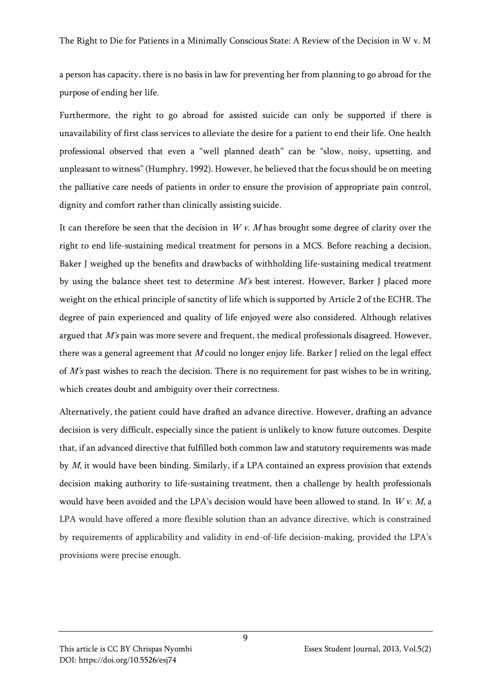a person has capacity, there is no basis in law for preventing her from planning to go abroad for the purpose of ending her life.

Furthermore, the right to go abroad for assisted suicide can only be supported if there is unavailability of first class services to alleviate the desire for a patient to end their life. One health professional observed that even a "well planned death" can be "slow, noisy, upsetting, and unpleasant to witness" (Humphry, 1992). However, he believed that the focus should be on meeting the palliative care needs of patients in order to ensure the provision of appropriate pain control, dignity and comfort rather than clinically assisting suicide.

It can therefore be seen that the decision in  $Wv$ . M has brought some degree of clarity over the right to end life-sustaining medical treatment for persons in a MCS. Before reaching a decision, Baker J weighed up the benefits and drawbacks of withholding life-sustaining medical treatment by using the balance sheet test to determine M's best interest. However, Barker J placed more weight on the ethical principle of sanctity of life which is supported by Article 2 of the ECHR. The degree of pain experienced and quality of life enjoyed were also considered. Although relatives argued that M's pain was more severe and frequent, the medical professionals disagreed. However, there was a general agreement that  $M$  could no longer enjoy life. Barker J relied on the legal effect of  $M$ 's past wishes to reach the decision. There is no requirement for past wishes to be in writing, which creates doubt and ambiguity over their correctness.

Alternatively, the patient could have drafted an advance directive. However, drafting an advance decision is very difficult, especially since the patient is unlikely to know future outcomes. Despite that, if an advanced directive that fulfilled both common law and statutory requirements was made by M, it would have been binding. Similarly, if a LPA contained an express provision that extends decision making authority to life-sustaining treatment, then a challenge by health professionals would have been avoided and the LPA's decision would have been allowed to stand. In  $Wv. M$ , a LPA would have offered a more flexible solution than an advance directive, which is constrained by requirements of applicability and validity in end-of-life decision-making, provided the LPA's provisions were precise enough.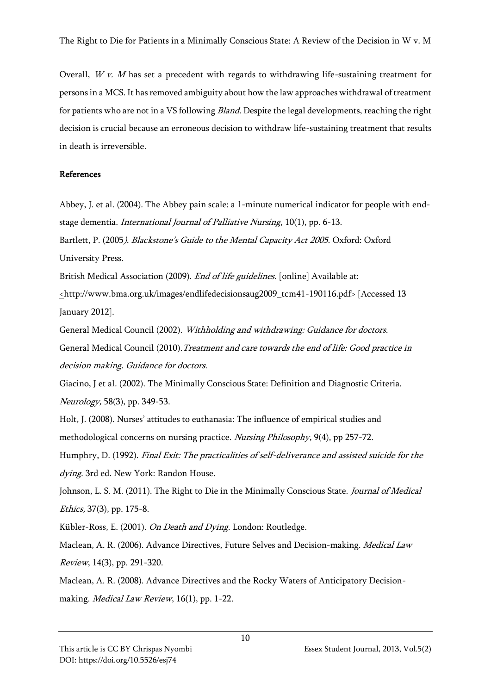Overall,  $Wv$ . M has set a precedent with regards to withdrawing life-sustaining treatment for persons in a MCS. It has removed ambiguity about how the law approaches withdrawal of treatment for patients who are not in a VS following *Bland*. Despite the legal developments, reaching the right decision is crucial because an erroneous decision to withdraw life-sustaining treatment that results in death is irreversible.

## References

Abbey, J. et al. (2004). The Abbey pain scale: a 1-minute numerical indicator for people with endstage dementia. International Journal of Palliative Nursing, 10(1), pp. 6-13. Bartlett, P. (2005). Blackstone's Guide to the Mental Capacity Act 2005. Oxford: Oxford

University Press.

British Medical Association (2009). End of life guidelines. [online] Available at:

<http://www.bma.org.uk/images/endlifedecisionsaug2009\_tcm41-190116.pdf> [Accessed 13 January 2012].

General Medical Council (2002). Withholding and withdrawing: Guidance for doctors. General Medical Council (2010). Treatment and care towards the end of life: Good practice in decision making. Guidance for doctors.

Giacino, J et al. (2002). The Minimally Conscious State: Definition and Diagnostic Criteria. Neurology, 58(3), pp. 349-53.

Holt, J. (2008). Nurses' attitudes to euthanasia: The influence of empirical studies and methodological concerns on nursing practice. Nursing Philosophy, 9(4), pp 257-72.

Humphry, D. (1992). Final Exit: The practicalities of self-deliverance and assisted suicide for the dying. 3rd ed. New York: Randon House.

Johnson, L. S. M. (2011). The Right to Die in the Minimally Conscious State. Journal of Medical Ethics, 37(3), pp. 175-8.

Kübler-Ross, E. (2001). On Death and Dying. London: Routledge.

Maclean, A. R. (2006). Advance Directives, Future Selves and Decision-making. Medical Law Review, 14(3), pp. 291-320.

Maclean, A. R. (2008). Advance Directives and the Rocky Waters of Anticipatory Decisionmaking. Medical Law Review, 16(1), pp. 1-22.